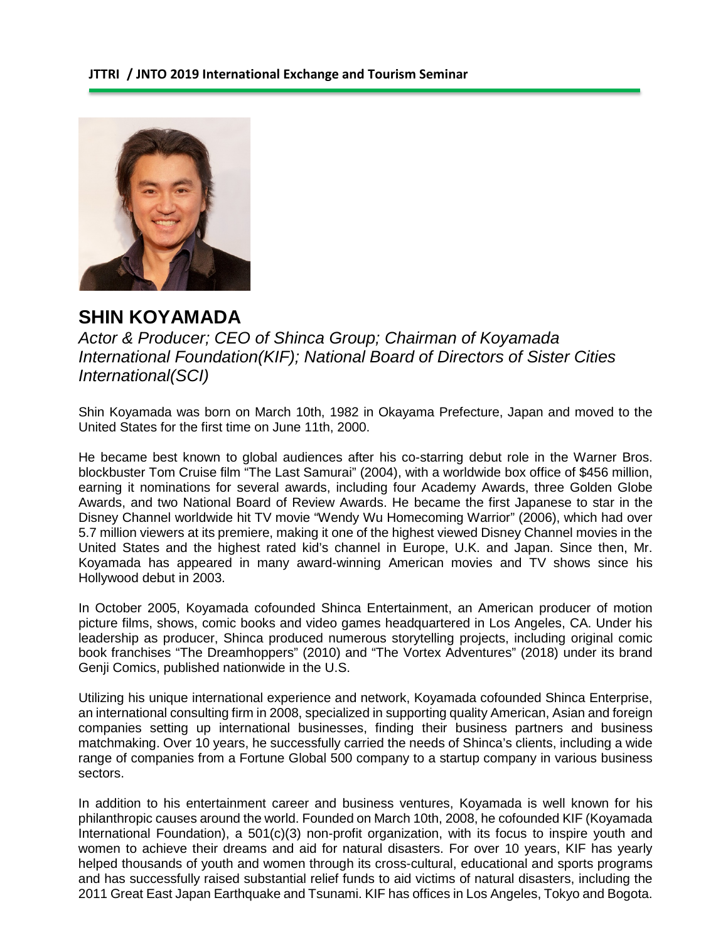

## **SHIN KOYAMADA**

*Actor & Producer; CEO of Shinca Group; Chairman of Koyamada International Foundation(KIF); National Board of Directors of Sister Cities International(SCI)*

Shin Koyamada was born on March 10th, 1982 in Okayama Prefecture, Japan and moved to the United States for the first time on June 11th, 2000.

He became best known to global audiences after his co-starring debut role in the Warner Bros. blockbuster Tom Cruise film "The Last Samurai" (2004), with a worldwide box office of \$456 million, earning it nominations for several awards, including four Academy Awards, three Golden Globe Awards, and two National Board of Review Awards. He became the first Japanese to star in the Disney Channel worldwide hit TV movie "Wendy Wu Homecoming Warrior" (2006), which had over 5.7 million viewers at its premiere, making it one of the highest viewed Disney Channel movies in the United States and the highest rated kid's channel in Europe, U.K. and Japan. Since then, Mr. Koyamada has appeared in many award-winning American movies and TV shows since his Hollywood debut in 2003.

In October 2005, Koyamada cofounded Shinca Entertainment, an American producer of motion picture films, shows, comic books and video games headquartered in Los Angeles, CA. Under his leadership as producer, Shinca produced numerous storytelling projects, including original comic book franchises "The Dreamhoppers" (2010) and "The Vortex Adventures" (2018) under its brand Genji Comics, published nationwide in the U.S.

Utilizing his unique international experience and network, Koyamada cofounded Shinca Enterprise, an international consulting firm in 2008, specialized in supporting quality American, Asian and foreign companies setting up international businesses, finding their business partners and business matchmaking. Over 10 years, he successfully carried the needs of Shinca's clients, including a wide range of companies from a Fortune Global 500 company to a startup company in various business sectors.

In addition to his entertainment career and business ventures, Koyamada is well known for his philanthropic causes around the world. Founded on March 10th, 2008, he cofounded KIF (Koyamada International Foundation), a 501(c)(3) non-profit organization, with its focus to inspire youth and women to achieve their dreams and aid for natural disasters. For over 10 years, KIF has yearly helped thousands of youth and women through its cross-cultural, educational and sports programs and has successfully raised substantial relief funds to aid victims of natural disasters, including the 2011 Great East Japan Earthquake and Tsunami. KIF has offices in Los Angeles, Tokyo and Bogota.